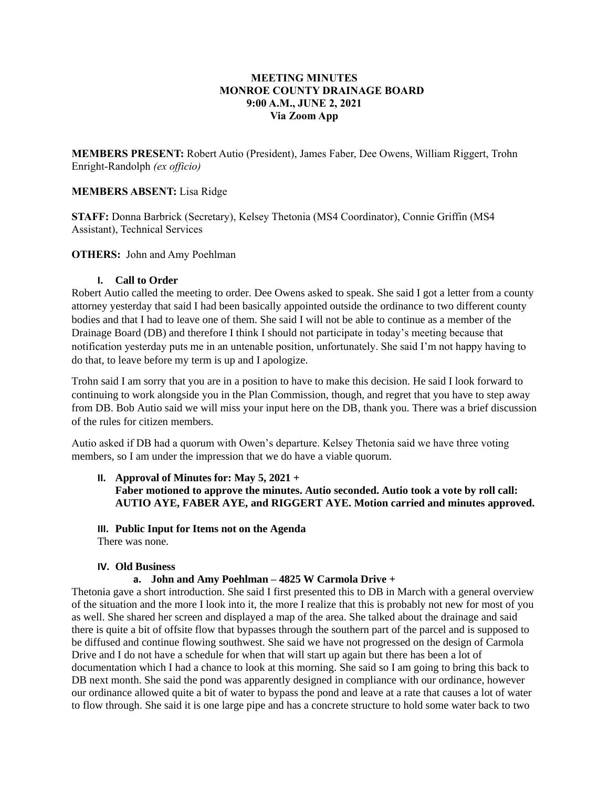# **MEETING MINUTES MONROE COUNTY DRAINAGE BOARD 9:00 A.M., JUNE 2, 2021 Via Zoom App**

**MEMBERS PRESENT:** Robert Autio (President), James Faber, Dee Owens, William Riggert, Trohn Enright-Randolph *(ex officio)*

# **MEMBERS ABSENT:** Lisa Ridge

**STAFF:** Donna Barbrick (Secretary), Kelsey Thetonia (MS4 Coordinator), Connie Griffin (MS4 Assistant), Technical Services

## **OTHERS:** John and Amy Poehlman

#### **I. Call to Order**

Robert Autio called the meeting to order. Dee Owens asked to speak. She said I got a letter from a county attorney yesterday that said I had been basically appointed outside the ordinance to two different county bodies and that I had to leave one of them. She said I will not be able to continue as a member of the Drainage Board (DB) and therefore I think I should not participate in today's meeting because that notification yesterday puts me in an untenable position, unfortunately. She said I'm not happy having to do that, to leave before my term is up and I apologize.

Trohn said I am sorry that you are in a position to have to make this decision. He said I look forward to continuing to work alongside you in the Plan Commission, though, and regret that you have to step away from DB. Bob Autio said we will miss your input here on the DB, thank you. There was a brief discussion of the rules for citizen members.

Autio asked if DB had a quorum with Owen's departure. Kelsey Thetonia said we have three voting members, so I am under the impression that we do have a viable quorum.

- **II. Approval of Minutes for: May 5, 2021 + Faber motioned to approve the minutes. Autio seconded. Autio took a vote by roll call: AUTIO AYE, FABER AYE, and RIGGERT AYE. Motion carried and minutes approved.**
- **III. Public Input for Items not on the Agenda**

There was none.

## **IV. Old Business**

## **a. John and Amy Poehlman – 4825 W Carmola Drive +**

Thetonia gave a short introduction. She said I first presented this to DB in March with a general overview of the situation and the more I look into it, the more I realize that this is probably not new for most of you as well. She shared her screen and displayed a map of the area. She talked about the drainage and said there is quite a bit of offsite flow that bypasses through the southern part of the parcel and is supposed to be diffused and continue flowing southwest. She said we have not progressed on the design of Carmola Drive and I do not have a schedule for when that will start up again but there has been a lot of documentation which I had a chance to look at this morning. She said so I am going to bring this back to DB next month. She said the pond was apparently designed in compliance with our ordinance, however our ordinance allowed quite a bit of water to bypass the pond and leave at a rate that causes a lot of water to flow through. She said it is one large pipe and has a concrete structure to hold some water back to two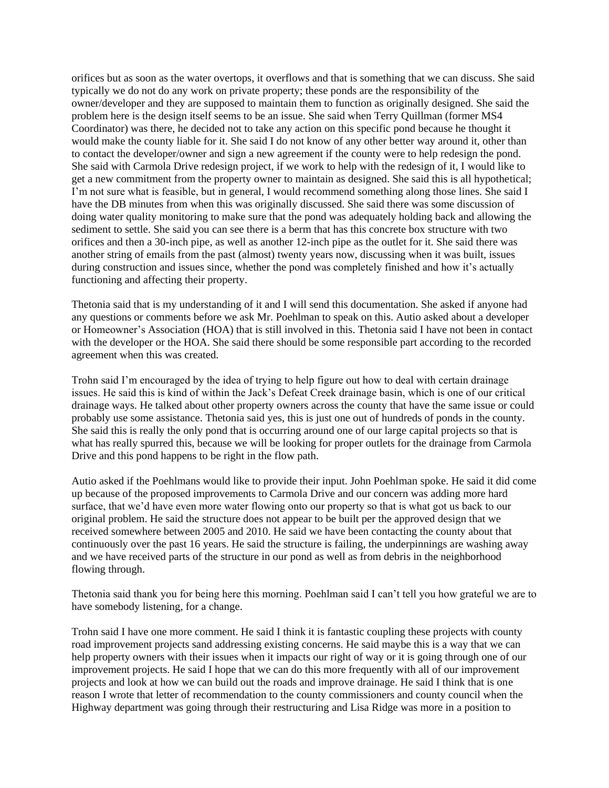orifices but as soon as the water overtops, it overflows and that is something that we can discuss. She said typically we do not do any work on private property; these ponds are the responsibility of the owner/developer and they are supposed to maintain them to function as originally designed. She said the problem here is the design itself seems to be an issue. She said when Terry Quillman (former MS4 Coordinator) was there, he decided not to take any action on this specific pond because he thought it would make the county liable for it. She said I do not know of any other better way around it, other than to contact the developer/owner and sign a new agreement if the county were to help redesign the pond. She said with Carmola Drive redesign project, if we work to help with the redesign of it, I would like to get a new commitment from the property owner to maintain as designed. She said this is all hypothetical; I'm not sure what is feasible, but in general, I would recommend something along those lines. She said I have the DB minutes from when this was originally discussed. She said there was some discussion of doing water quality monitoring to make sure that the pond was adequately holding back and allowing the sediment to settle. She said you can see there is a berm that has this concrete box structure with two orifices and then a 30-inch pipe, as well as another 12-inch pipe as the outlet for it. She said there was another string of emails from the past (almost) twenty years now, discussing when it was built, issues during construction and issues since, whether the pond was completely finished and how it's actually functioning and affecting their property.

Thetonia said that is my understanding of it and I will send this documentation. She asked if anyone had any questions or comments before we ask Mr. Poehlman to speak on this. Autio asked about a developer or Homeowner's Association (HOA) that is still involved in this. Thetonia said I have not been in contact with the developer or the HOA. She said there should be some responsible part according to the recorded agreement when this was created.

Trohn said I'm encouraged by the idea of trying to help figure out how to deal with certain drainage issues. He said this is kind of within the Jack's Defeat Creek drainage basin, which is one of our critical drainage ways. He talked about other property owners across the county that have the same issue or could probably use some assistance. Thetonia said yes, this is just one out of hundreds of ponds in the county. She said this is really the only pond that is occurring around one of our large capital projects so that is what has really spurred this, because we will be looking for proper outlets for the drainage from Carmola Drive and this pond happens to be right in the flow path.

Autio asked if the Poehlmans would like to provide their input. John Poehlman spoke. He said it did come up because of the proposed improvements to Carmola Drive and our concern was adding more hard surface, that we'd have even more water flowing onto our property so that is what got us back to our original problem. He said the structure does not appear to be built per the approved design that we received somewhere between 2005 and 2010. He said we have been contacting the county about that continuously over the past 16 years. He said the structure is failing, the underpinnings are washing away and we have received parts of the structure in our pond as well as from debris in the neighborhood flowing through.

Thetonia said thank you for being here this morning. Poehlman said I can't tell you how grateful we are to have somebody listening, for a change.

Trohn said I have one more comment. He said I think it is fantastic coupling these projects with county road improvement projects sand addressing existing concerns. He said maybe this is a way that we can help property owners with their issues when it impacts our right of way or it is going through one of our improvement projects. He said I hope that we can do this more frequently with all of our improvement projects and look at how we can build out the roads and improve drainage. He said I think that is one reason I wrote that letter of recommendation to the county commissioners and county council when the Highway department was going through their restructuring and Lisa Ridge was more in a position to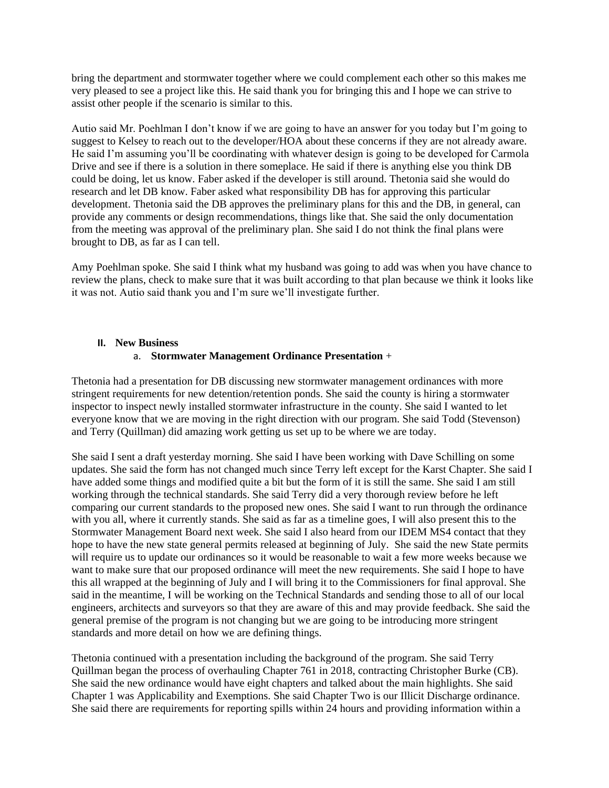bring the department and stormwater together where we could complement each other so this makes me very pleased to see a project like this. He said thank you for bringing this and I hope we can strive to assist other people if the scenario is similar to this.

Autio said Mr. Poehlman I don't know if we are going to have an answer for you today but I'm going to suggest to Kelsey to reach out to the developer/HOA about these concerns if they are not already aware. He said I'm assuming you'll be coordinating with whatever design is going to be developed for Carmola Drive and see if there is a solution in there someplace. He said if there is anything else you think DB could be doing, let us know. Faber asked if the developer is still around. Thetonia said she would do research and let DB know. Faber asked what responsibility DB has for approving this particular development. Thetonia said the DB approves the preliminary plans for this and the DB, in general, can provide any comments or design recommendations, things like that. She said the only documentation from the meeting was approval of the preliminary plan. She said I do not think the final plans were brought to DB, as far as I can tell.

Amy Poehlman spoke. She said I think what my husband was going to add was when you have chance to review the plans, check to make sure that it was built according to that plan because we think it looks like it was not. Autio said thank you and I'm sure we'll investigate further.

## **II. New Business**

## a. **Stormwater Management Ordinance Presentation** +

Thetonia had a presentation for DB discussing new stormwater management ordinances with more stringent requirements for new detention/retention ponds. She said the county is hiring a stormwater inspector to inspect newly installed stormwater infrastructure in the county. She said I wanted to let everyone know that we are moving in the right direction with our program. She said Todd (Stevenson) and Terry (Quillman) did amazing work getting us set up to be where we are today.

She said I sent a draft yesterday morning. She said I have been working with Dave Schilling on some updates. She said the form has not changed much since Terry left except for the Karst Chapter. She said I have added some things and modified quite a bit but the form of it is still the same. She said I am still working through the technical standards. She said Terry did a very thorough review before he left comparing our current standards to the proposed new ones. She said I want to run through the ordinance with you all, where it currently stands. She said as far as a timeline goes, I will also present this to the Stormwater Management Board next week. She said I also heard from our IDEM MS4 contact that they hope to have the new state general permits released at beginning of July. She said the new State permits will require us to update our ordinances so it would be reasonable to wait a few more weeks because we want to make sure that our proposed ordinance will meet the new requirements. She said I hope to have this all wrapped at the beginning of July and I will bring it to the Commissioners for final approval. She said in the meantime, I will be working on the Technical Standards and sending those to all of our local engineers, architects and surveyors so that they are aware of this and may provide feedback. She said the general premise of the program is not changing but we are going to be introducing more stringent standards and more detail on how we are defining things.

Thetonia continued with a presentation including the background of the program. She said Terry Quillman began the process of overhauling Chapter 761 in 2018, contracting Christopher Burke (CB). She said the new ordinance would have eight chapters and talked about the main highlights. She said Chapter 1 was Applicability and Exemptions. She said Chapter Two is our Illicit Discharge ordinance. She said there are requirements for reporting spills within 24 hours and providing information within a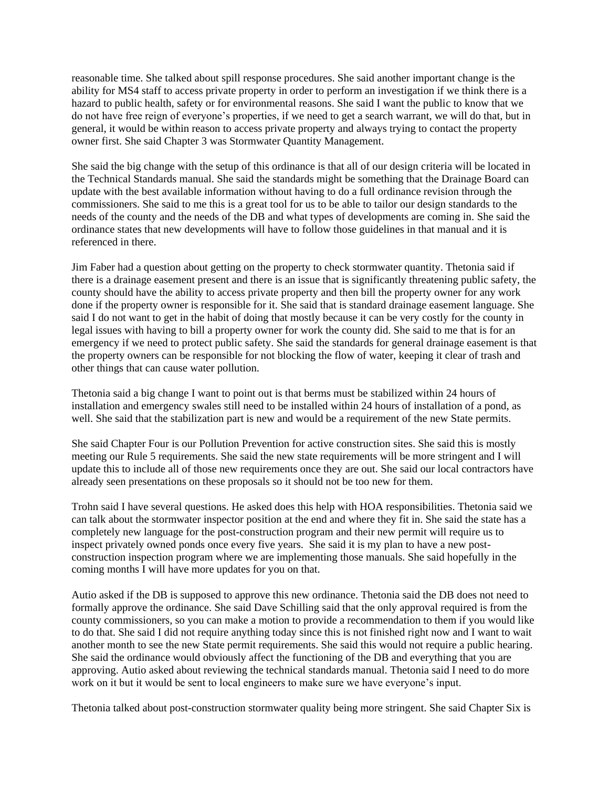reasonable time. She talked about spill response procedures. She said another important change is the ability for MS4 staff to access private property in order to perform an investigation if we think there is a hazard to public health, safety or for environmental reasons. She said I want the public to know that we do not have free reign of everyone's properties, if we need to get a search warrant, we will do that, but in general, it would be within reason to access private property and always trying to contact the property owner first. She said Chapter 3 was Stormwater Quantity Management.

She said the big change with the setup of this ordinance is that all of our design criteria will be located in the Technical Standards manual. She said the standards might be something that the Drainage Board can update with the best available information without having to do a full ordinance revision through the commissioners. She said to me this is a great tool for us to be able to tailor our design standards to the needs of the county and the needs of the DB and what types of developments are coming in. She said the ordinance states that new developments will have to follow those guidelines in that manual and it is referenced in there.

Jim Faber had a question about getting on the property to check stormwater quantity. Thetonia said if there is a drainage easement present and there is an issue that is significantly threatening public safety, the county should have the ability to access private property and then bill the property owner for any work done if the property owner is responsible for it. She said that is standard drainage easement language. She said I do not want to get in the habit of doing that mostly because it can be very costly for the county in legal issues with having to bill a property owner for work the county did. She said to me that is for an emergency if we need to protect public safety. She said the standards for general drainage easement is that the property owners can be responsible for not blocking the flow of water, keeping it clear of trash and other things that can cause water pollution.

Thetonia said a big change I want to point out is that berms must be stabilized within 24 hours of installation and emergency swales still need to be installed within 24 hours of installation of a pond, as well. She said that the stabilization part is new and would be a requirement of the new State permits.

She said Chapter Four is our Pollution Prevention for active construction sites. She said this is mostly meeting our Rule 5 requirements. She said the new state requirements will be more stringent and I will update this to include all of those new requirements once they are out. She said our local contractors have already seen presentations on these proposals so it should not be too new for them.

Trohn said I have several questions. He asked does this help with HOA responsibilities. Thetonia said we can talk about the stormwater inspector position at the end and where they fit in. She said the state has a completely new language for the post-construction program and their new permit will require us to inspect privately owned ponds once every five years. She said it is my plan to have a new postconstruction inspection program where we are implementing those manuals. She said hopefully in the coming months I will have more updates for you on that.

Autio asked if the DB is supposed to approve this new ordinance. Thetonia said the DB does not need to formally approve the ordinance. She said Dave Schilling said that the only approval required is from the county commissioners, so you can make a motion to provide a recommendation to them if you would like to do that. She said I did not require anything today since this is not finished right now and I want to wait another month to see the new State permit requirements. She said this would not require a public hearing. She said the ordinance would obviously affect the functioning of the DB and everything that you are approving. Autio asked about reviewing the technical standards manual. Thetonia said I need to do more work on it but it would be sent to local engineers to make sure we have everyone's input.

Thetonia talked about post-construction stormwater quality being more stringent. She said Chapter Six is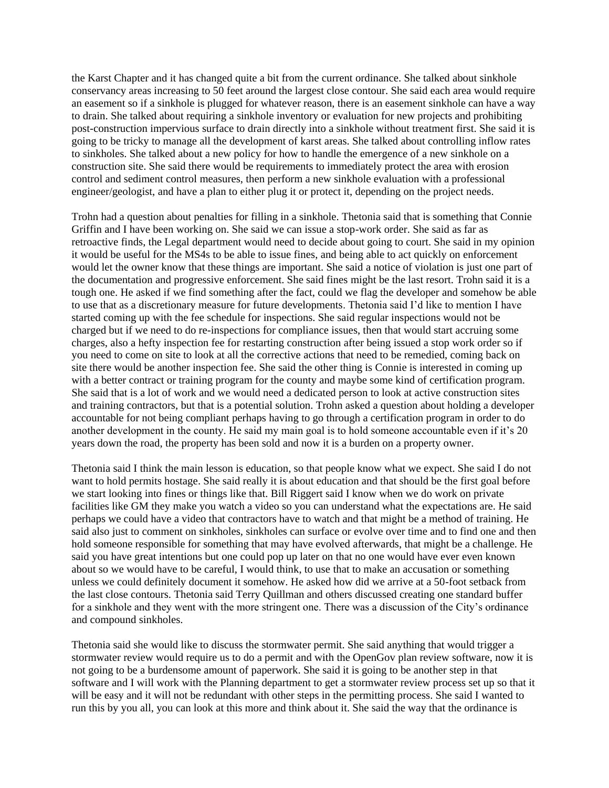the Karst Chapter and it has changed quite a bit from the current ordinance. She talked about sinkhole conservancy areas increasing to 50 feet around the largest close contour. She said each area would require an easement so if a sinkhole is plugged for whatever reason, there is an easement sinkhole can have a way to drain. She talked about requiring a sinkhole inventory or evaluation for new projects and prohibiting post-construction impervious surface to drain directly into a sinkhole without treatment first. She said it is going to be tricky to manage all the development of karst areas. She talked about controlling inflow rates to sinkholes. She talked about a new policy for how to handle the emergence of a new sinkhole on a construction site. She said there would be requirements to immediately protect the area with erosion control and sediment control measures, then perform a new sinkhole evaluation with a professional engineer/geologist, and have a plan to either plug it or protect it, depending on the project needs.

Trohn had a question about penalties for filling in a sinkhole. Thetonia said that is something that Connie Griffin and I have been working on. She said we can issue a stop-work order. She said as far as retroactive finds, the Legal department would need to decide about going to court. She said in my opinion it would be useful for the MS4s to be able to issue fines, and being able to act quickly on enforcement would let the owner know that these things are important. She said a notice of violation is just one part of the documentation and progressive enforcement. She said fines might be the last resort. Trohn said it is a tough one. He asked if we find something after the fact, could we flag the developer and somehow be able to use that as a discretionary measure for future developments. Thetonia said I'd like to mention I have started coming up with the fee schedule for inspections. She said regular inspections would not be charged but if we need to do re-inspections for compliance issues, then that would start accruing some charges, also a hefty inspection fee for restarting construction after being issued a stop work order so if you need to come on site to look at all the corrective actions that need to be remedied, coming back on site there would be another inspection fee. She said the other thing is Connie is interested in coming up with a better contract or training program for the county and maybe some kind of certification program. She said that is a lot of work and we would need a dedicated person to look at active construction sites and training contractors, but that is a potential solution. Trohn asked a question about holding a developer accountable for not being compliant perhaps having to go through a certification program in order to do another development in the county. He said my main goal is to hold someone accountable even if it's 20 years down the road, the property has been sold and now it is a burden on a property owner.

Thetonia said I think the main lesson is education, so that people know what we expect. She said I do not want to hold permits hostage. She said really it is about education and that should be the first goal before we start looking into fines or things like that. Bill Riggert said I know when we do work on private facilities like GM they make you watch a video so you can understand what the expectations are. He said perhaps we could have a video that contractors have to watch and that might be a method of training. He said also just to comment on sinkholes, sinkholes can surface or evolve over time and to find one and then hold someone responsible for something that may have evolved afterwards, that might be a challenge. He said you have great intentions but one could pop up later on that no one would have ever even known about so we would have to be careful, I would think, to use that to make an accusation or something unless we could definitely document it somehow. He asked how did we arrive at a 50-foot setback from the last close contours. Thetonia said Terry Quillman and others discussed creating one standard buffer for a sinkhole and they went with the more stringent one. There was a discussion of the City's ordinance and compound sinkholes.

Thetonia said she would like to discuss the stormwater permit. She said anything that would trigger a stormwater review would require us to do a permit and with the OpenGov plan review software, now it is not going to be a burdensome amount of paperwork. She said it is going to be another step in that software and I will work with the Planning department to get a stormwater review process set up so that it will be easy and it will not be redundant with other steps in the permitting process. She said I wanted to run this by you all, you can look at this more and think about it. She said the way that the ordinance is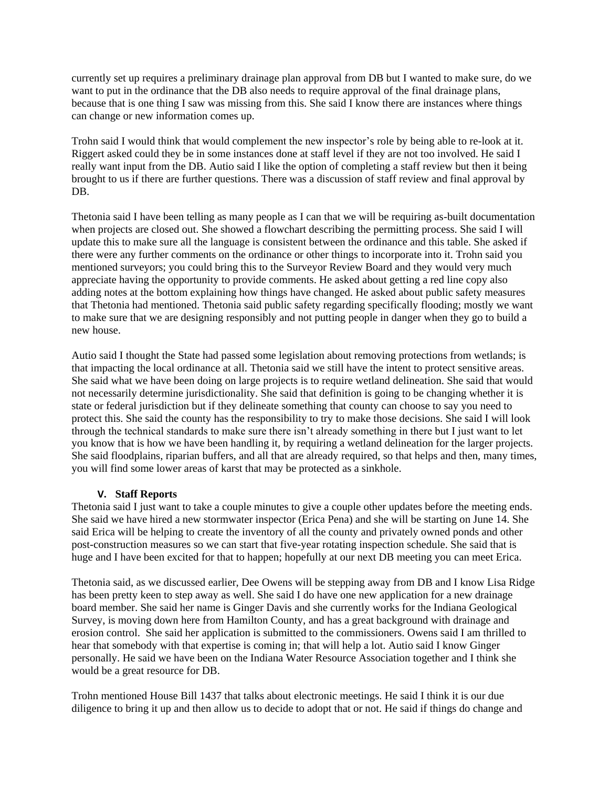currently set up requires a preliminary drainage plan approval from DB but I wanted to make sure, do we want to put in the ordinance that the DB also needs to require approval of the final drainage plans, because that is one thing I saw was missing from this. She said I know there are instances where things can change or new information comes up.

Trohn said I would think that would complement the new inspector's role by being able to re-look at it. Riggert asked could they be in some instances done at staff level if they are not too involved. He said I really want input from the DB. Autio said I like the option of completing a staff review but then it being brought to us if there are further questions. There was a discussion of staff review and final approval by DB.

Thetonia said I have been telling as many people as I can that we will be requiring as-built documentation when projects are closed out. She showed a flowchart describing the permitting process. She said I will update this to make sure all the language is consistent between the ordinance and this table. She asked if there were any further comments on the ordinance or other things to incorporate into it. Trohn said you mentioned surveyors; you could bring this to the Surveyor Review Board and they would very much appreciate having the opportunity to provide comments. He asked about getting a red line copy also adding notes at the bottom explaining how things have changed. He asked about public safety measures that Thetonia had mentioned. Thetonia said public safety regarding specifically flooding; mostly we want to make sure that we are designing responsibly and not putting people in danger when they go to build a new house.

Autio said I thought the State had passed some legislation about removing protections from wetlands; is that impacting the local ordinance at all. Thetonia said we still have the intent to protect sensitive areas. She said what we have been doing on large projects is to require wetland delineation. She said that would not necessarily determine jurisdictionality. She said that definition is going to be changing whether it is state or federal jurisdiction but if they delineate something that county can choose to say you need to protect this. She said the county has the responsibility to try to make those decisions. She said I will look through the technical standards to make sure there isn't already something in there but I just want to let you know that is how we have been handling it, by requiring a wetland delineation for the larger projects. She said floodplains, riparian buffers, and all that are already required, so that helps and then, many times, you will find some lower areas of karst that may be protected as a sinkhole.

# **V. Staff Reports**

Thetonia said I just want to take a couple minutes to give a couple other updates before the meeting ends. She said we have hired a new stormwater inspector (Erica Pena) and she will be starting on June 14. She said Erica will be helping to create the inventory of all the county and privately owned ponds and other post-construction measures so we can start that five-year rotating inspection schedule. She said that is huge and I have been excited for that to happen; hopefully at our next DB meeting you can meet Erica.

Thetonia said, as we discussed earlier, Dee Owens will be stepping away from DB and I know Lisa Ridge has been pretty keen to step away as well. She said I do have one new application for a new drainage board member. She said her name is Ginger Davis and she currently works for the Indiana Geological Survey, is moving down here from Hamilton County, and has a great background with drainage and erosion control. She said her application is submitted to the commissioners. Owens said I am thrilled to hear that somebody with that expertise is coming in; that will help a lot. Autio said I know Ginger personally. He said we have been on the Indiana Water Resource Association together and I think she would be a great resource for DB.

Trohn mentioned House Bill 1437 that talks about electronic meetings. He said I think it is our due diligence to bring it up and then allow us to decide to adopt that or not. He said if things do change and